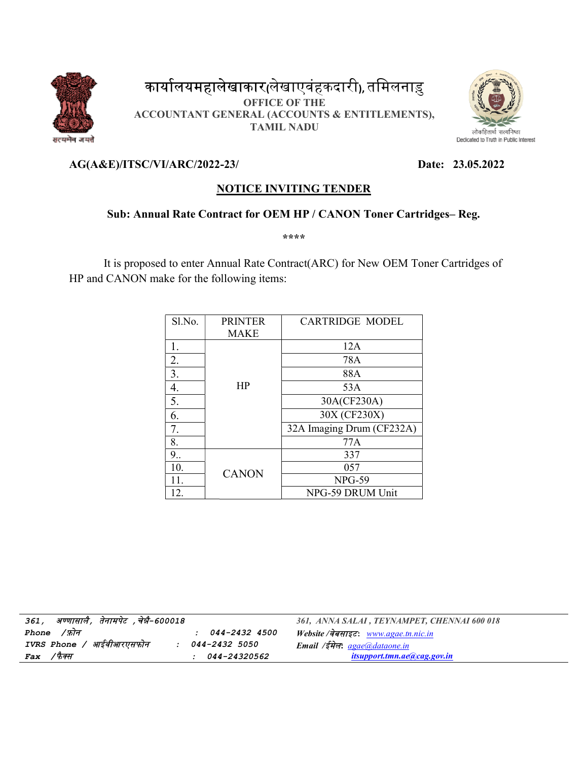

# कार्यालयमहालेखाकार(लेखाएवंहकदारी), तमिलनाडु ACCOUNTANT GENERAL (ACCOUNTS & ENTITLEMENTS), reductions (लेखाएवंहकदारी), तमिलनाड़ु<br>
oFFICE OF THE<br>
GENERAL (ACCOUNTS & ENTITLEMENTS)<br>
TAMIL NADU<br>
22-23/ Da<br>
NOTICE INVITING TENDER<br>
Intract for OEM HP / CANON Toner Cartrid<br>
\*\*\*\*<br>
Annual Rate Contract(ARC) for New OEM OFFICE OF THE TAMIL NADU



## AG(A&E)/ITSC/VI/ARC/2022 2022-23/ Date:

### Date: 23.05.2022

## NOTICE INVITING TENDER

#### Sub: Annual Rate Contract for OEM HP / CANON Toner Cartridges-Reg.

\*\*\*\*

It is proposed to enter Annual Rate Contract(ARC) for New OEM Toner Cartridges of HP and CANON make for the following items:

| Sl.No. | <b>PRINTER</b> | <b>CARTRIDGE MODEL</b>    |  |  |
|--------|----------------|---------------------------|--|--|
|        | <b>MAKE</b>    |                           |  |  |
| 1.     |                | 12A                       |  |  |
| 2.     |                | 78A                       |  |  |
| 3.     |                | 88A                       |  |  |
| 4.     | HP             | 53A                       |  |  |
| 5.     |                | 30A(CF230A)               |  |  |
| 6.     |                | 30X (CF230X)              |  |  |
| 7.     |                | 32A Imaging Drum (CF232A) |  |  |
| 8.     |                | 77A                       |  |  |
| 9      |                | 337                       |  |  |
| 10.    | <b>CANON</b>   | 057                       |  |  |
| 11.    |                | $NPG-59$                  |  |  |
| 12.    |                | NPG-59 DRUM Unit          |  |  |

| अण्णासालै, तेनामपेट ,चेन्नै-600018<br>361, |                            | 361, ANNA SALAI, TEYNAMPET, CHENNAI 600 018 |
|--------------------------------------------|----------------------------|---------------------------------------------|
| Phone $/5\pi$                              | <i>044-2432 4500</i>       | Website /वेबसाइटः <u>www.agae.tn.nic.in</u> |
| / आईवीआरएसफोन<br>IVRS Phone                | <i>044-2432 5050</i>       | Email /ईमेल: <u>agae@dataone.in</u>         |
| ′फैक्स<br>Fax                              | <i><b>044-24320562</b></i> | <i>itsupport.tmn.ae@cag.gov.in</i>          |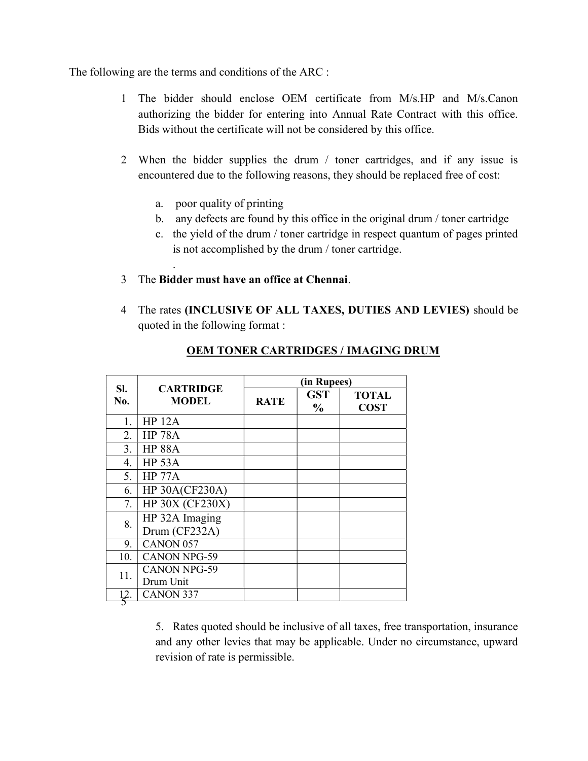The following are the terms and conditions of the ARC :

- 1 The bidder should enclose OEM certificate from M/s.HP and M/s.Canon authorizing the bidder for entering into Annual Rate Contract with this office. Bids without the certificate will not be considered by this office.
- 2 When the bidder supplies the drum / toner cartridges, and if any issue is encountered due to the following reasons, they should be replaced free of cost:
	- a. poor quality of printing

.

- b. any defects are found by this office in the original drum / toner cartridge
- c. the yield of the drum / toner cartridge in respect quantum of pages printed is not accomplished by the drum / toner cartridge.
- 3 The Bidder must have an office at Chennai.
- 4 The rates (INCLUSIVE OF ALL TAXES, DUTIES AND LEVIES) should be quoted in the following format :

| SI.<br>No. | <b>CARTRIDGE</b><br><b>MODEL</b> | (in Rupees) |                             |                             |
|------------|----------------------------------|-------------|-----------------------------|-----------------------------|
|            |                                  | <b>RATE</b> | <b>GST</b><br>$\frac{6}{6}$ | <b>TOTAL</b><br><b>COST</b> |
| 1.         | <b>HP 12A</b>                    |             |                             |                             |
| 2.         | <b>HP 78A</b>                    |             |                             |                             |
| 3.         | <b>HP 88A</b>                    |             |                             |                             |
| 4.         | <b>HP 53A</b>                    |             |                             |                             |
| 5.         | <b>HP 77A</b>                    |             |                             |                             |
| 6.         | <b>HP 30A(CF230A)</b>            |             |                             |                             |
| 7.         | HP 30X (CF230X)                  |             |                             |                             |
| 8.         | HP 32A Imaging<br>Drum (CF232A)  |             |                             |                             |
| 9.         | CANON 057                        |             |                             |                             |
| 10.        | <b>CANON NPG-59</b>              |             |                             |                             |
| 11.        | <b>CANON NPG-59</b><br>Drum Unit |             |                             |                             |
| 12.        | <b>CANON 337</b>                 |             |                             |                             |

#### OEM TONER CARTRIDGES / IMAGING DRUM

5. Rates quoted should be inclusive of all taxes, free transportation, insurance and any other levies that may be applicable. Under no circumstance, upward revision of rate is permissible.